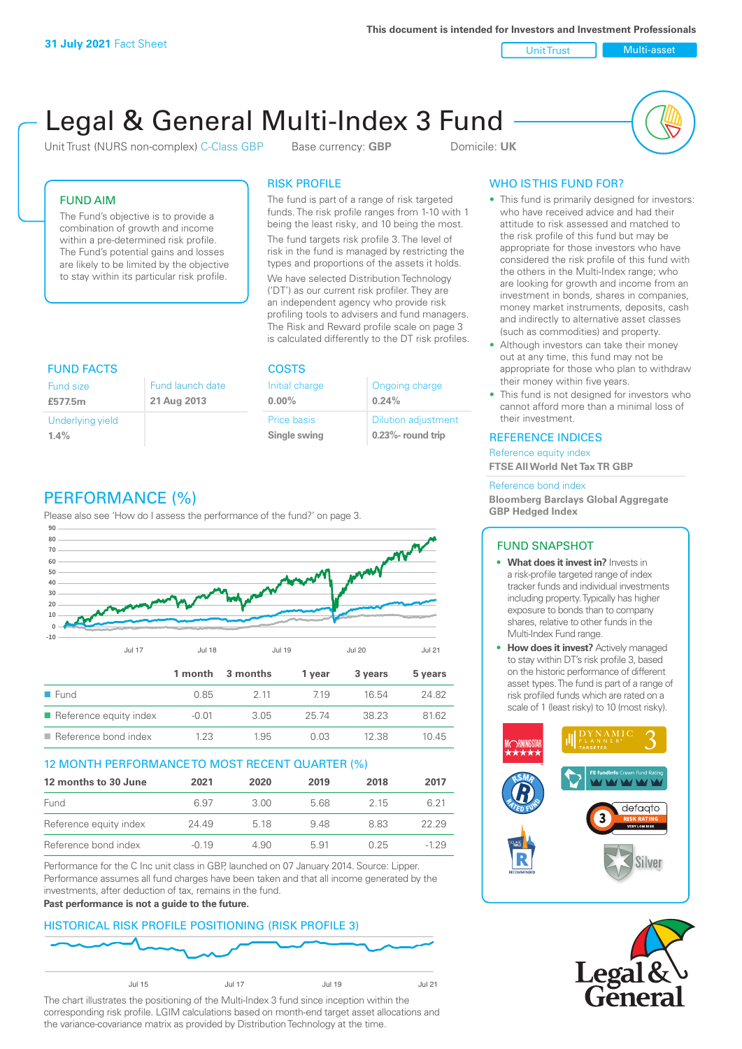Unit Trust Nulti-asset

# Legal & General Multi-Index 3 Fund

Unit Trust (NURS non-complex) C-Class GBP Base currency: **GBP** Domicile: UK



## FUND AIM

The Fund's objective is to provide a combination of growth and income within a pre-determined risk profile. The Fund's potential gains and losses are likely to be limited by the objective to stay within its particular risk profile.

## RISK PROFILE

The fund is part of a range of risk targeted funds. The risk profile ranges from 1-10 with 1 being the least risky, and 10 being the most.

The fund targets risk profile 3. The level of risk in the fund is managed by restricting the types and proportions of the assets it holds. We have selected Distribution Technology ('DT') as our current risk profiler. They are an independent agency who provide risk profiling tools to advisers and fund managers. The Risk and Reward profile scale on page 3 is calculated differently to the DT risk profiles.

| <b>FUND FACTS</b> |                  | <b>COSTS</b>   |                            |  |
|-------------------|------------------|----------------|----------------------------|--|
| Fund size         | Fund launch date | Initial charge | Ongoing charge             |  |
| £577.5m           | 21 Aug 2013      | $0.00\%$       | 0.24%                      |  |
| Underlying yield  |                  | Price basis    | <b>Dilution adjustment</b> |  |
| 1.4%              |                  | Single swing   | $0.23\%$ - round trip      |  |

# PERFORMANCE (%)

Please also see 'How do I assess the performance of the fund?' on page 3.



#### 12 MONTH PERFORMANCE TO MOST RECENT QUARTER (%)

| 12 months to 30 June   | 2021    | 2020 | 2019 | 2018 | 2017   |
|------------------------|---------|------|------|------|--------|
| Fund                   | 6.97    | 3.00 | 5.68 | 2.15 | 6.21   |
| Reference equity index | 24.49   | 5 18 | 948  | 883  | 22.29  |
| Reference bond index   | $-0.19$ | 4.90 | 5.91 | በ 25 | $-129$ |

Performance for the C Inc unit class in GBP, launched on 07 January 2014. Source: Lipper. Performance assumes all fund charges have been taken and that all income generated by the investments, after deduction of tax, remains in the fund.

#### **Past performance is not a guide to the future.**

# HISTORICAL RISK PROFILE POSITIONING (RISK PROFILE 3)



The chart illustrates the positioning of the Multi-Index 3 fund since inception within the corresponding risk profile. LGIM calculations based on month-end target asset allocations and the variance-covariance matrix as provided by Distribution Technology at the time.

## WHO IS THIS FUND FOR?

- This fund is primarily designed for investors: who have received advice and had their attitude to risk assessed and matched to the risk profile of this fund but may be appropriate for those investors who have considered the risk profile of this fund with the others in the Multi-Index range; who are looking for growth and income from an investment in bonds, shares in companies, money market instruments, deposits, cash and indirectly to alternative asset classes (such as commodities) and property.
- Although investors can take their money out at any time, this fund may not be appropriate for those who plan to withdraw their money within five years.
- This fund is not designed for investors who cannot afford more than a minimal loss of their investment.

#### REFERENCE INDICES

Reference equity index **FTSE All World Net Tax TR GBP**

#### Reference bond index

**Bloomberg Barclays Global Aggregate GBP Hedged Index**

#### FUND SNAPSHOT

- **• What does it invest in?** Invests in a risk-profile targeted range of index tracker funds and individual investments including property. Typically has higher exposure to bonds than to company shares, relative to other funds in the Multi-Index Fund range.
- **• How does it invest?** Actively managed to stay within DT's risk profile 3, based on the historic performance of different asset types. The fund is part of a range of risk profiled funds which are rated on a scale of 1 (least risky) to 10 (most risky).



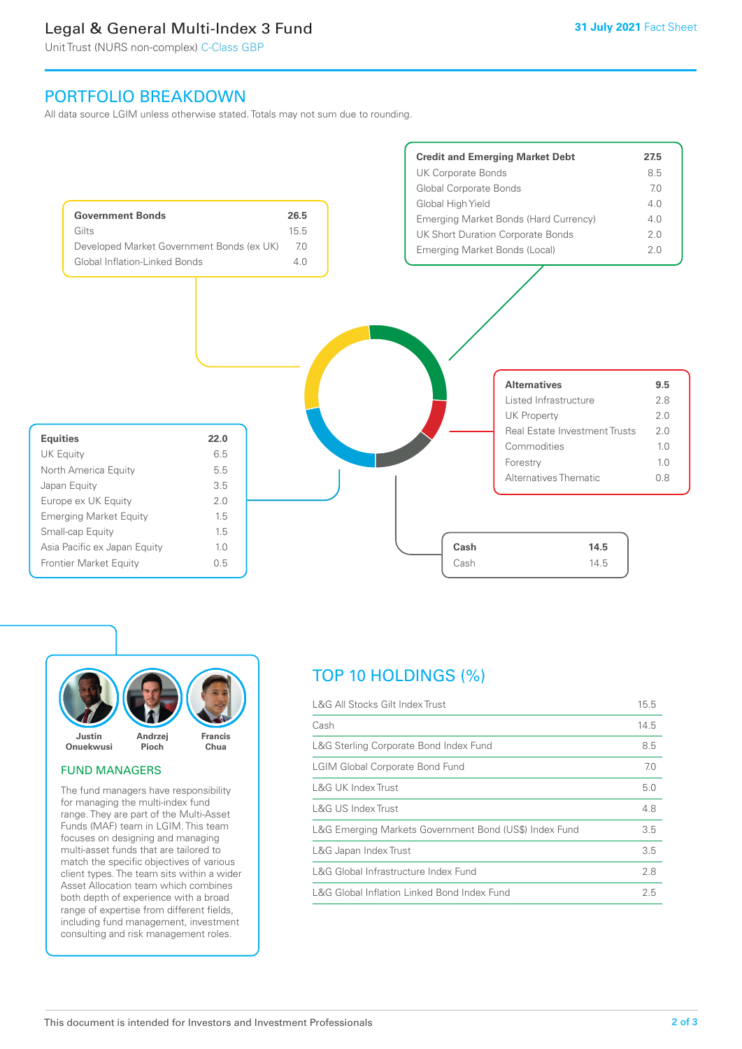# Legal & General Multi-Index 3 Fund

Unit Trust (NURS non-complex) C-Class GBP

# PORTFOLIO BREAKDOWN

All data source LGIM unless otherwise stated. Totals may not sum due to rounding.





#### FUND MANAGERS

The fund managers have responsibility for managing the multi-index fund range. They are part of the Multi-Asset Funds (MAF) team in LGIM. This team focuses on designing and managing multi-asset funds that are tailored to match the specific objectives of various client types. The team sits within a wider Asset Allocation team which combines both depth of experience with a broad range of expertise from different fields, including fund management, investment consulting and risk management roles.

# TOP 10 HOLDINGS (%)

| L&G All Stocks Gilt Index Trust                        | 15.5 |
|--------------------------------------------------------|------|
| Cash                                                   | 14.5 |
| L&G Sterling Corporate Bond Index Fund                 | 8.5  |
| <b>LGIM Global Corporate Bond Fund</b>                 | 7.0  |
| L&G UK Index Trust                                     | 5.0  |
| L&G US Index Trust                                     | 4.8  |
| L&G Emerging Markets Government Bond (US\$) Index Fund | 3.5  |
| L&G Japan Index Trust                                  | 3.5  |
| L&G Global Infrastructure Index Fund                   | 2.8  |
| L&G Global Inflation Linked Bond Index Fund            | 2.5  |